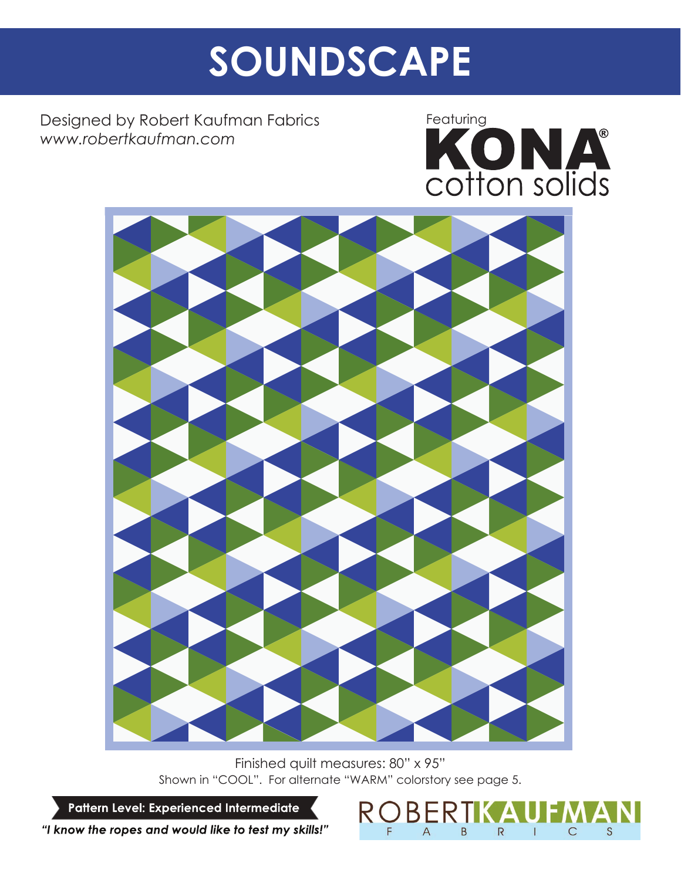# SOUNDSCAPE

Designed by Robert Kaufman Fabrics *www.robertkaufman.com*





Finished quilt measures: 80" x 95" Shown in "COOL". For alternate "WARM" colorstory see page 5.

Pattern Level: Experienced Intermediate

"I know the ropes and would like to test my skills!"

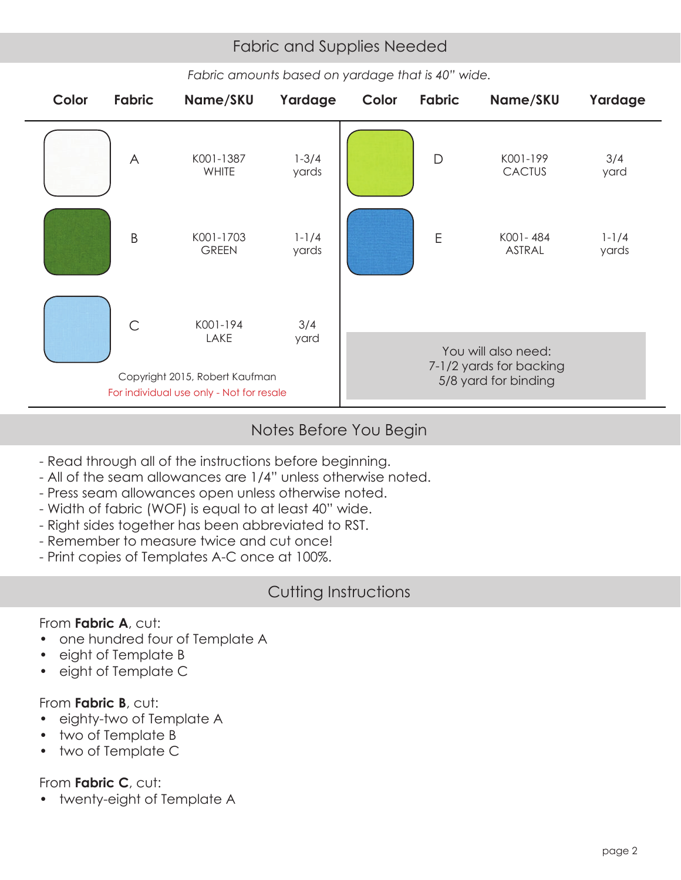## Fabric and Supplies Needed Fabric and Supplies Needed



#### *Fabric amounts based on yardage that is 40" wide.*

#### Notes Before You Begin

- Read through all of the instructions before beginning.
- All of the seam allowances are 1/4" unless otherwise noted.
- Press seam allowances open unless otherwise noted.
- Width of fabric (WOF) is equal to at least 40" wide.
- Right sides together has been abbreviated to RST.
- Remember to measure twice and cut once!
- Print copies of Templates A-C once at 100%.

## Cutting Instructions

### From **Fabric A**, cut:

- one hundred four of Template A
- eight of Template B
- eight of Template C

### From **Fabric B**, cut:

- eighty-two of Template A
- two of Template B
- two of Template C

## From **Fabric C**, cut:

• twenty-eight of Template A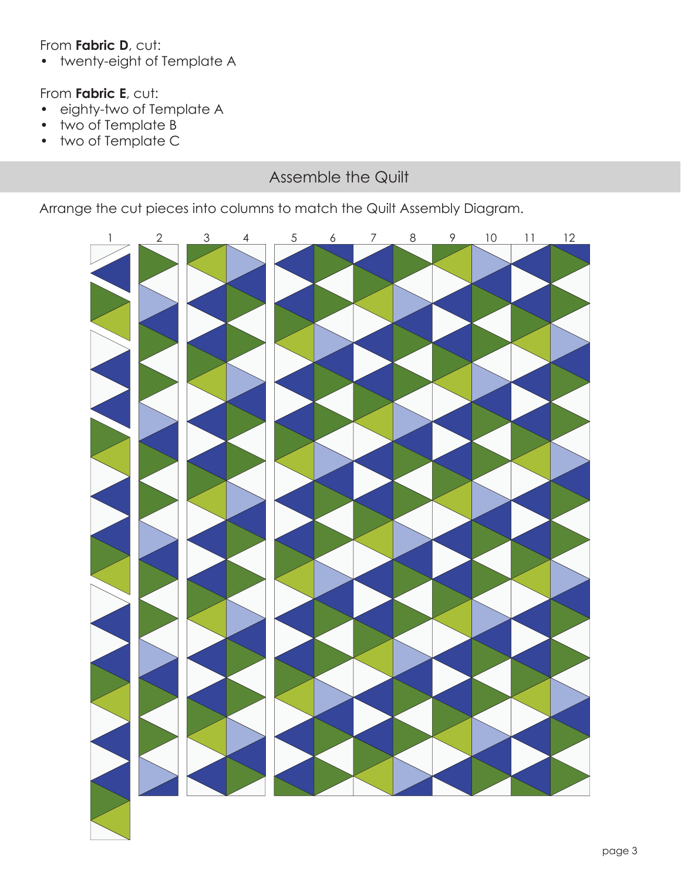#### From **Fabric D**, cut:

• twenty-eight of Template A

#### From **Fabric E**, cut:

- eighty-two of Template A
- two of Template B
- two of Template C

## Assemble the Quilt

Arrange the cut pieces into columns to match the Quilt Assembly Diagram.

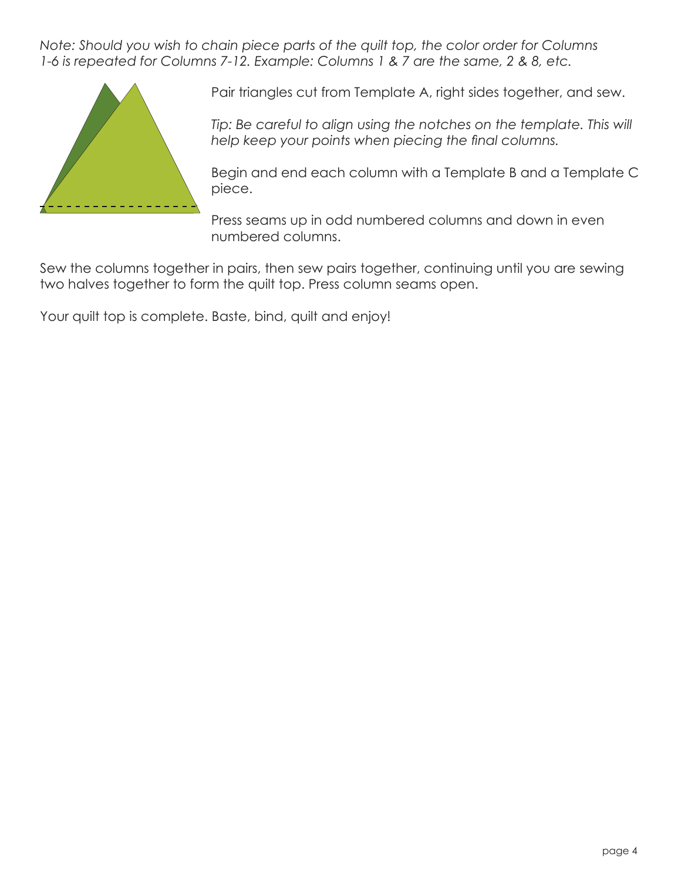*Note: Should you wish to chain piece parts of the quilt top, the color order for Columns 1-6 is repeated for Columns 7-12. Example: Columns 1 & 7 are the same, 2 & 8, etc.*



Pair triangles cut from Template A, right sides together, and sew.

**Tip: Be careful to align using the notches on the template. This will** help keep your points when piecing the final columns.

Begin and end each column with a Template B and a Template C piece.

Press seams up in odd numbered columns and down in even numbered columns.

Sew the columns together in pairs, then sew pairs together, continuing until you are sewing two halves together to form the quilt top. Press column seams open.

Your quilt top is complete. Baste, bind, quilt and enjoy!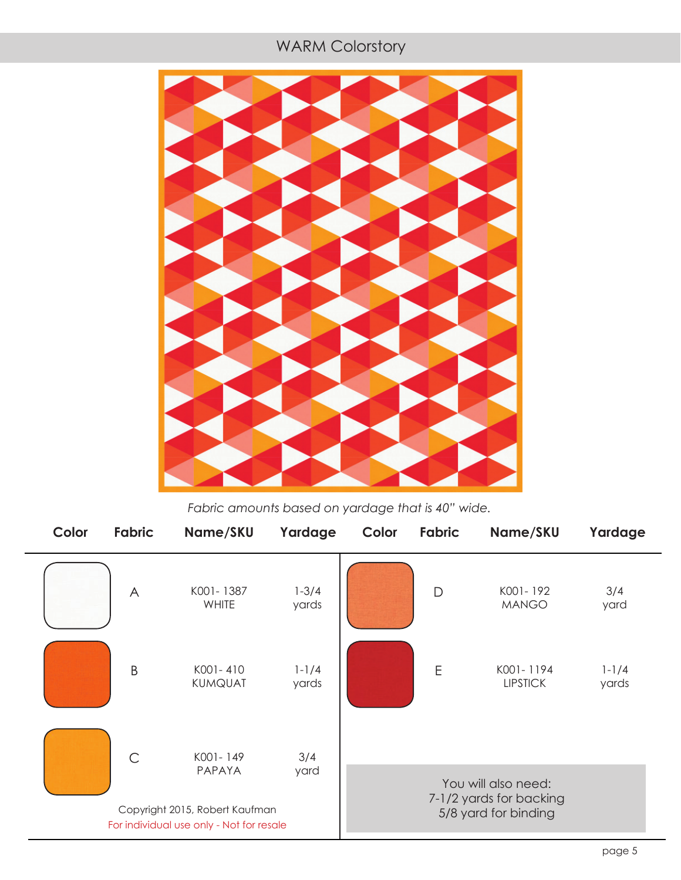#### **Fabric and Supplies New York Colorstory**



*Fabric amounts based on yardage that is 40" wide.*

| Color                                    | <b>Fabric</b>  | Name/SKU                                             | Yardage            | Color | Fabric | Name/SKU                                                               | Yardage            |
|------------------------------------------|----------------|------------------------------------------------------|--------------------|-------|--------|------------------------------------------------------------------------|--------------------|
|                                          | $\overline{A}$ | K001-1387<br><b>WHITE</b>                            | $1 - 3/4$<br>yards |       | D      | K001-192<br><b>MANGO</b>                                               | 3/4<br>yard        |
|                                          | B              | K001-410<br><b>KUMQUAT</b>                           | $1 - 1/4$<br>yards |       | E      | K001-1194<br><b>LIPSTICK</b>                                           | $1 - 1/4$<br>yards |
|                                          | $\mathsf{C}$   | K001-149<br>PAPAYA<br>Copyright 2015, Robert Kaufman | 3/4<br>yard        |       |        | You will also need:<br>7-1/2 yards for backing<br>5/8 yard for binding |                    |
| For individual use only - Not for resale |                |                                                      |                    |       |        |                                                                        |                    |